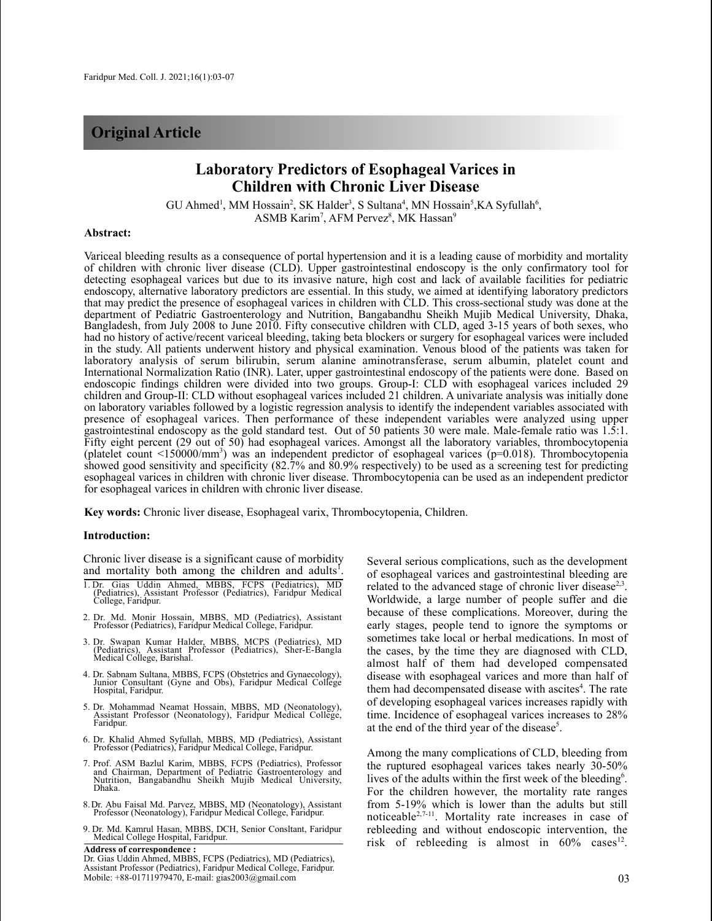# **Original Article**

## **Laboratory Predictors of Esophageal Varices in Children with Chronic Liver Disease**

 $GU$  Ahmed<sup>1</sup>, MM Hossain<sup>2</sup>, SK Halder<sup>3</sup>, S Sultana<sup>4</sup>, MN Hossain<sup>5</sup>, KA Syfullah<sup>6</sup>, ASMB Karim<sup>7</sup>, AFM Pervez<sup>8</sup>, MK Hassan<sup>9</sup>

#### **Abstract:**

Variceal bleeding results as a consequence of portal hypertension and it is a leading cause of morbidity and mortality of children with chronic liver disease (CLD). Upper gastrointestinal endoscopy is the only confirmatory tool for detecting esophageal varices but due to its invasive nature, high cost and lack of available facilities for pediatric endoscopy, alternative laboratory predictors are essential. In this study, we aimed at identifying laboratory predictors that may predict the presence of esophageal varices in children with CLD. This cross-sectional study was done at the department of Pediatric Gastroenterology and Nutrition, Bangabandhu Sheikh Mujib Medical University, Dhaka, Bangladesh, from July 2008 to June 2010. Fifty consecutive children with CLD, aged 3-15 years of both sexes, who had no history of active/recent variceal bleeding, taking beta blockers or surgery for esophageal varices were included in the study. All patients underwent history and physical examination. Venous blood of the patients was taken for laboratory analysis of serum bilirubin, serum alanine aminotransferase, serum albumin, platelet count and International Normalization Ratio (INR). Later, upper gastrointestinal endoscopy of the patients were done. Based on endoscopic findings children were divided into two groups. Group-I: CLD with esophageal varices included 29 children and Group-II: CLD without esophageal varices included 21 children. A univariate analysis was initially done on laboratory variables followed by a logistic regression analysis to identify the independent variables associated with presence of esophageal varices. Then performance of these independent variables were analyzed using upper gastrointestinal endoscopy as the gold standard test. Out of 50 patients 30 were male. Male-female ratio was 1.5:1. Fifty eight percent (29 out of 50) had esophageal varices. Amongst all the laboratory variables, thrombocytopenia (platelet count <150000/mm<sup>3</sup>) was an independent predictor of esophageal varices (p=0.018). Thrombocytopenia showed good sensitivity and specificity (82.7% and 80.9% respectively) to be used as a screening test for predicting esophageal varices in children with chronic liver disease. Thrombocytopenia can be used as an independent predictor for esophageal varices in children with chronic liver disease.

**Key words:** Chronic liver disease, Esophageal varix, Thrombocytopenia, Children.

#### **Introduction:**

Chronic liver disease is a significant cause of morbidity and mortality both among the children and adults<sup>1</sup>.

- 1. Dr. Gias Uddin Ahmed, MBBS, FCPS (Pediatrics), MD (Pediatrics), Assistant Professor (Pediatrics), Faridpur Medical College, Faridpur.
- 2. Dr. Md. Monir Hossain, MBBS, MD (Pediatrics), Assistant Professor (Pediatrics), Faridpur Medical College, Faridpur.
- 3. Dr. Swapan Kumar Halder, MBBS, MCPS (Pediatrics), MD (Pediatrics), Assistant Professor (Pediatrics), Sher-E-Bangla Medical College, Barishal.
- 4. Dr. Sabnam Sultana, MBBS, FCPS (Obstetrics and Gynaecology), Junior Consultant (Gyne and Obs), Faridpur Medical College Hospital, Faridpur.
- 5. Dr. Mohammad Neamat Hossain, MBBS, MD (Neonatology), Assistant Professor (Neonatology), Faridpur Medical College, Faridpur.
- 6. Dr. Khalid Ahmed Syfullah, MBBS, MD (Pediatrics), Assistant Professor (Pediatrics), Faridpur Medical College, Faridpur.
- 7. Prof. ASM Bazlul Karim, MBBS, FCPS (Pediatrics), Professor and Chairman, Department of Pediatric Gastroenterology and Nutrition, Bangabandhu Sheikh Mujib Medical University,<br>Dhaka.
- 8.Dr. Abu Faisal Md. Parvez, MBBS, MD (Neonatology), Assistant Professor (Neonatology), Faridpur Medical College, Faridpur.
- 9. Dr. Md. Kamrul Hasan, MBBS, DCH, Senior Consltant, Faridpur Medical College Hospital, Faridpur.

**Address of correspondence :** Dr. Gias Uddin Ahmed, MBBS, FCPS (Pediatrics), MD (Pediatrics), Assistant Professor (Pediatrics), Faridpur Medical College, Faridpur. Mobile: +88-01711979470, E-mail: gias2003@gmail.com 03

Several serious complications, such as the development of esophageal varices and gastrointestinal bleeding are related to the advanced stage of chronic liver disease<sup>2,3</sup>. Worldwide, a large number of people suffer and die because of these complications. Moreover, during the early stages, people tend to ignore the symptoms or sometimes take local or herbal medications. In most of the cases, by the time they are diagnosed with CLD, almost half of them had developed compensated disease with esophageal varices and more than half of them had decompensated disease with ascites<sup>4</sup>. The rate of developing esophageal varices increases rapidly with time. Incidence of esophageal varices increases to 28% at the end of the third year of the disease<sup>5</sup>.

Among the many complications of CLD, bleeding from the ruptured esophageal varices takes nearly 30-50% lives of the adults within the first week of the bleeding<sup>6</sup>. For the children however, the mortality rate ranges from 5-19% which is lower than the adults but still noticeable<sup>2,7-11</sup>. Mortality rate increases in case of rebleeding and without endoscopic intervention, the risk of rebleeding is almost in  $60\%$  cases<sup>12</sup>.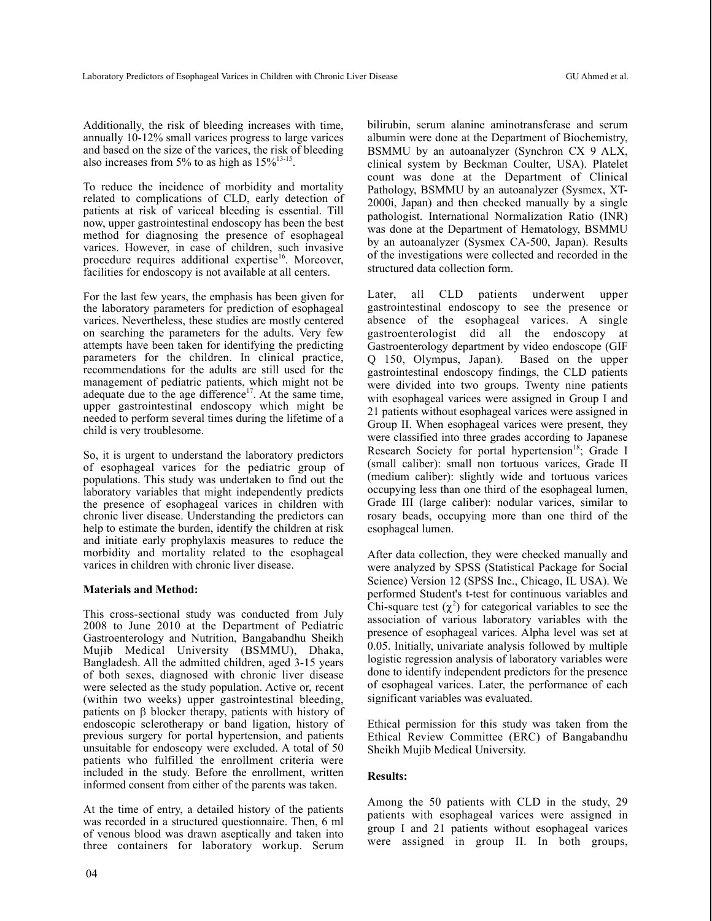Additionally, the risk of bleeding increases with time, annually 10-12% small varices progress to large varices and based on the size of the varices, the risk of bleeding also increases from 5% to as high as  $15\%^{13-15}$ .

To reduce the incidence of morbidity and mortality related to complications of CLD, early detection of patients at risk of variceal bleeding is essential. Till now, upper gastrointestinal endoscopy has been the best method for diagnosing the presence of esophageal varices. However, in case of children, such invasive procedure requires additional expertise<sup>16</sup>. Moreover, facilities for endoscopy is not available at all centers.

For the last few years, the emphasis has been given for the laboratory parameters for prediction of esophageal varices. Nevertheless, these studies are mostly centered on searching the parameters for the adults. Very few attempts have been taken for identifying the predicting parameters for the children. In clinical practice, recommendations for the adults are still used for the management of pediatric patients, which might not be adequate due to the age difference<sup>17</sup>. At the same time, upper gastrointestinal endoscopy which might be needed to perform several times during the lifetime of a child is very troublesome.

So, it is urgent to understand the laboratory predictors of esophageal varices for the pediatric group of populations. This study was undertaken to find out the laboratory variables that might independently predicts the presence of esophageal varices in children with chronic liver disease. Understanding the predictors can help to estimate the burden, identify the children at risk and initiate early prophylaxis measures to reduce the morbidity and mortality related to the esophageal varices in children with chronic liver disease.

## **Materials and Method:**

This cross-sectional study was conducted from July 2008 to June 2010 at the Department of Pediatric Gastroenterology and Nutrition, Bangabandhu Sheikh Mujib Medical University (BSMMU), Dhaka, Bangladesh. All the admitted children, aged 3-15 years of both sexes, diagnosed with chronic liver disease were selected as the study population. Active or, recent (within two weeks) upper gastrointestinal bleeding, patients on  $\beta$  blocker therapy, patients with history of endoscopic sclerotherapy or band ligation, history of previous surgery for portal hypertension, and patients unsuitable for endoscopy were excluded. A total of 50 patients who fulfilled the enrollment criteria were included in the study. Before the enrollment, written informed consent from either of the parents was taken.

At the time of entry, a detailed history of the patients was recorded in a structured questionnaire. Then, 6 ml of venous blood was drawn aseptically and taken into three containers for laboratory workup. Serum bilirubin, serum alanine aminotransferase and serum albumin were done at the Department of Biochemistry, BSMMU by an autoanalyzer (Synchron CX 9 ALX, clinical system by Beckman Coulter, USA). Platelet count was done at the Department of Clinical Pathology, BSMMU by an autoanalyzer (Sysmex, XT-2000i, Japan) and then checked manually by a single pathologist. International Normalization Ratio (INR) was done at the Department of Hematology, BSMMU by an autoanalyzer (Sysmex CA-500, Japan). Results of the investigations were collected and recorded in the structured data collection form.

Later, all CLD patients underwent upper gastrointestinal endoscopy to see the presence or absence of the esophageal varices. A single gastroenterologist did all the endoscopy at Gastroenterology department by video endoscope (GIF Q 150, Olympus, Japan). Based on the upper gastrointestinal endoscopy findings, the CLD patients were divided into two groups. Twenty nine patients with esophageal varices were assigned in Group I and 21 patients without esophageal varices were assigned in Group II. When esophageal varices were present, they were classified into three grades according to Japanese Research Society for portal hypertension<sup>18</sup>; Grade I (small caliber): small non tortuous varices, Grade II (medium caliber): slightly wide and tortuous varices occupying less than one third of the esophageal lumen, Grade III (large caliber): nodular varices, similar to rosary beads, occupying more than one third of the esophageal lumen.

After data collection, they were checked manually and were analyzed by SPSS (Statistical Package for Social Science) Version 12 (SPSS Inc., Chicago, IL USA). We performed Student's t-test for continuous variables and Chi-square test  $(\chi^2)$  for categorical variables to see the association of various laboratory variables with the presence of esophageal varices. Alpha level was set at 0.05. Initially, univariate analysis followed by multiple logistic regression analysis of laboratory variables were done to identify independent predictors for the presence of esophageal varices. Later, the performance of each significant variables was evaluated.

Ethical permission for this study was taken from the Ethical Review Committee (ERC) of Bangabandhu Sheikh Mujib Medical University.

## **Results:**

Among the 50 patients with CLD in the study, 29 patients with esophageal varices were assigned in group I and 21 patients without esophageal varices were assigned in group II. In both groups,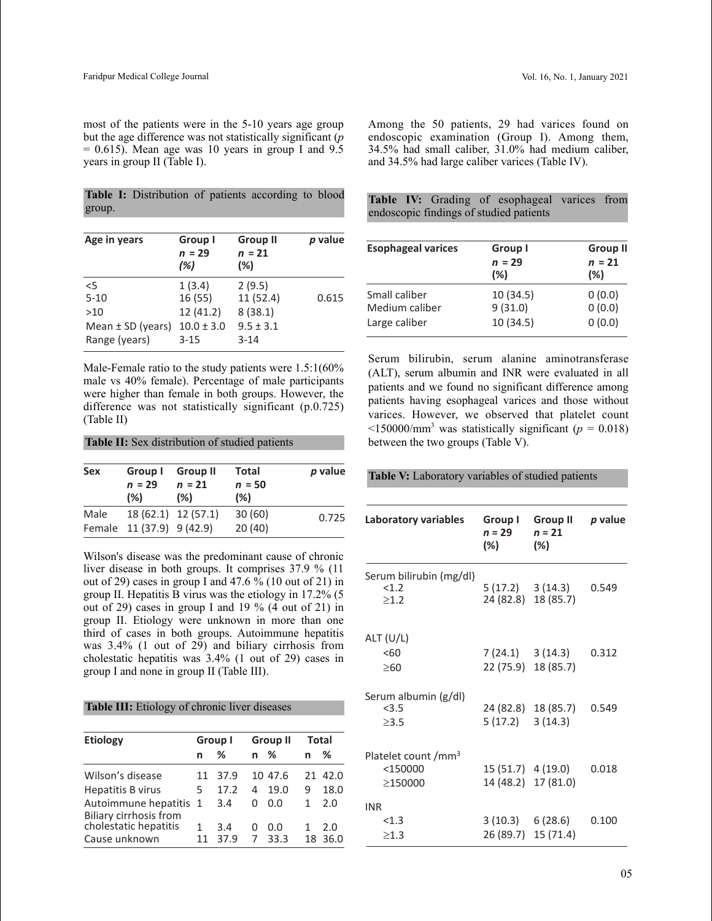**Table I:** Distribution of patients according to blood group.

| Age in years          | Group I<br>$n = 29$<br>(%) | <b>Group II</b><br>$n = 21$<br>(%) | p value |
|-----------------------|----------------------------|------------------------------------|---------|
| 5                     | 1(3.4)                     | 2(9.5)                             | 0.615   |
| $5 - 10$              | 16 (55)                    | 11(52.4)                           |         |
| >10                   | 12 (41.2)                  | 8(38.1)                            |         |
| Mean $\pm$ SD (years) | $10.0 \pm 3.0$             | $9.5 \pm 3.1$                      |         |
| Range (years)         | $3 - 15$                   | $3 - 14$                           |         |

Male-Female ratio to the study patients were 1.5:1(60% male vs 40% female). Percentage of male participants were higher than female in both groups. However, the difference was not statistically significant (p.0.725) (Table II)

| Table II: Sex distribution of studied patients |  |  |  |
|------------------------------------------------|--|--|--|
|------------------------------------------------|--|--|--|

| <b>Sex</b> | Group I<br>$n = 29$<br>(% ) | <b>Group II</b><br>$n = 21$<br>(%) | Total<br>$n = 50$<br>(%) | p value |
|------------|-----------------------------|------------------------------------|--------------------------|---------|
| Male       | Female 11 (37.9) 9 (42.9)   | 18 (62.1) 12 (57.1)                | 30(60)<br>20(40)         | 0.725   |

Wilson's disease was the predominant cause of chronic liver disease in both groups. It comprises 37.9 % (11 out of 29) cases in group I and 47.6  $\frac{6}{10}$  (10 out of 21) in group II. Hepatitis B virus was the etiology in 17.2% (5 out of 29) cases in group I and 19 % (4 out of 21) in group II. Etiology were unknown in more than one third of cases in both groups. Autoimmune hepatitis was 3.4% (1 out of 29) and biliary cirrhosis from cholestatic hepatitis was 3.4% (1 out of 29) cases in group I and none in group II (Table III).

**Table III:** Etiology of chronic liver diseases

| <b>Etiology</b>                                       | Group I |             |        | <b>Group II</b> |    | <b>Total</b> |  |
|-------------------------------------------------------|---------|-------------|--------|-----------------|----|--------------|--|
|                                                       | n       | %           | n %    |                 | n  | ℅            |  |
| Wilson's disease                                      | 11      | 37.9        |        | 10 47.6         |    | 21 42.0      |  |
| <b>Hepatitis B virus</b>                              | 5       | 17.2        | 4      | 19.0            | 9  | 18.0         |  |
| Autoimmune hepatitis<br><b>Biliary cirrhosis from</b> | 1       | 3.4         | U      | 0.0             | 1. | 2.0          |  |
| cholestatic hepatitis<br>Cause unknown                | 11      | 3.4<br>37.9 | Ω<br>7 | 0.0<br>33.3     | 18 | 2.0<br>36.0  |  |

Among the 50 patients, 29 had varices found on endoscopic examination (Group I). Among them, 34.5% had small caliber, 31.0% had medium caliber, and 34.5% had large caliber varices (Table IV).

|  |  | Table IV: Grading of esophageal varices from |  |
|--|--|----------------------------------------------|--|
|  |  | endoscopic findings of studied patients      |  |

| <b>Esophageal varices</b>                        | Group I                          | <b>Group II</b>            |
|--------------------------------------------------|----------------------------------|----------------------------|
|                                                  | $n = 29$<br>(%)                  | $n = 21$<br>(%)            |
| Small caliber<br>Medium caliber<br>Large caliber | 10 (34.5)<br>9(31.0)<br>10(34.5) | 0(0.0)<br>0(0.0)<br>0(0.0) |

Serum bilirubin, serum alanine aminotransferase (ALT), serum albumin and INR were evaluated in all patients and we found no significant difference among patients having esophageal varices and those without varices. However, we observed that platelet count  $\langle$ 150000/mm<sup>3</sup> was statistically significant ( $p = 0.018$ ) between the two groups (Table V).

**Table V:** Laboratory variables of studied patients

| Laboratory variables                                     | Group I<br>$n = 29$<br>(%) | Group II<br>$n = 21$<br>(%)                    | p value |
|----------------------------------------------------------|----------------------------|------------------------------------------------|---------|
| Serum bilirubin (mg/dl)<br><1.2<br>$\geq 1.2$            |                            | $5(17.2) \quad 3(14.3)$<br>24 (82.8) 18 (85.7) | 0.549   |
| ALT (U/L)<br>< 60<br>$\geq 60$                           |                            | $7(24.1) \quad 3(14.3)$<br>22 (75.9) 18 (85.7) | 0.312   |
| Serum albumin (g/dl)<br>< 3.5<br>$\geq$ 3.5              | $5(17.2)$ 3 (14.3)         | 24 (82.8) 18 (85.7)                            | 0.549   |
| Platelet count /mm <sup>3</sup><br>$<$ 150000<br>≥150000 |                            | 15 (51.7) 4 (19.0)<br>14 (48.2) 17 (81.0)      | 0.018   |
| <b>INR</b><br>< 1.3<br>$\geq$ 1.3                        |                            | $3(10.3) \quad 6(28.6)$<br>26 (89.7) 15 (71.4) | 0.100   |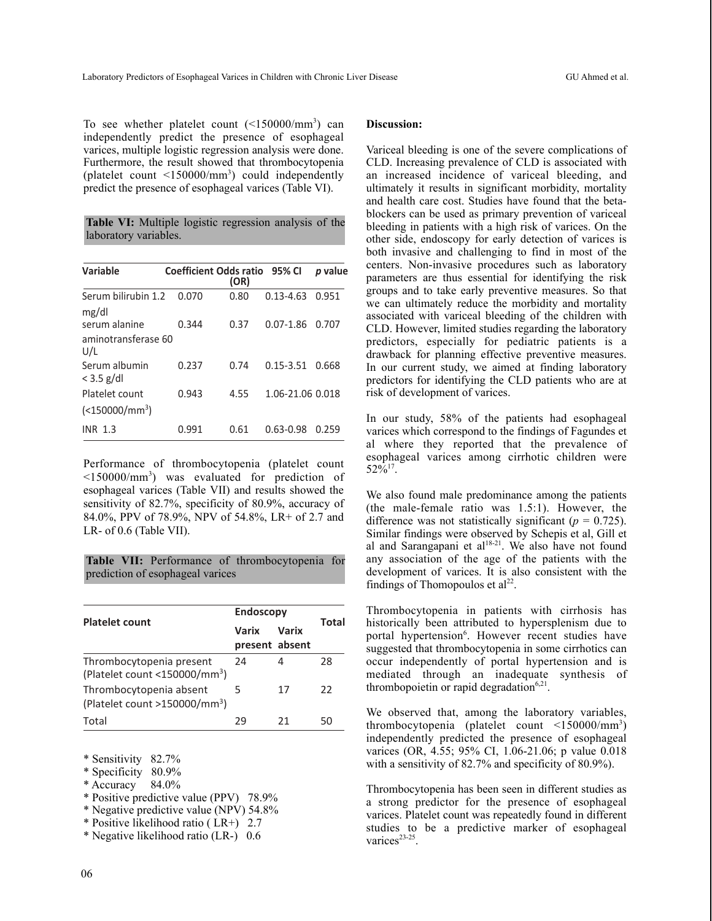To see whether platelet count  $(\leq 150000/\text{mm}^3)$  can independently predict the presence of esophageal varices, multiple logistic regression analysis were done. Furthermore, the result showed that thrombocytopenia (platelet count  $\langle 150000 / \text{mm}^3 \rangle$  could independently predict the presence of esophageal varices (Table VI).

**Table VI:** Multiple logistic regression analysis of the laboratory variables.

| Variable                      | Coefficient Odds ratio 95% CI | (OR) |                  | <i>p</i> value |
|-------------------------------|-------------------------------|------|------------------|----------------|
| Serum bilirubin 1.2<br>mg/dl  | 0.070                         | 0.80 | $0.13 - 4.63$    | 0.951          |
| serum alanine                 | 0.344                         | 0.37 | $0.07 - 1.86$    | 0.707          |
| aminotransferase 60<br>U/L    |                               |      |                  |                |
| Serum albumin<br>$<$ 3.5 g/dl | 0.237                         | 0.74 | $0.15 - 3.51$    | 0.668          |
| Platelet count                | 0.943                         | 4.55 | 1.06-21.06 0.018 |                |
| $(<$ 150000/mm <sup>3</sup> ) |                               |      |                  |                |
| <b>INR 1.3</b>                | 0.991                         | 0.61 | 0.63-0.98        | 0.259          |

Performance of thrombocytopenia (platelet count  $\leq$ 150000/mm<sup>3</sup>) was evaluated for prediction of esophageal varices (Table VII) and results showed the sensitivity of 82.7%, specificity of 80.9%, accuracy of 84.0%, PPV of 78.9%, NPV of 54.8%, LR+ of 2.7 and LR- of 0.6 (Table VII).

**Table VII:** Performance of thrombocytopenia for prediction of esophageal varices

|                                                                          | <b>Endoscopy</b>        |       |       |
|--------------------------------------------------------------------------|-------------------------|-------|-------|
| <b>Platelet count</b>                                                    | Varix<br>present absent | Varix | Total |
| Thrombocytopenia present<br>(Platelet count $<$ 150000/mm <sup>3</sup> ) | 24                      | 4     | 28    |
| Thrombocytopenia absent<br>(Platelet count >150000/mm <sup>3</sup> )     | 5.                      | 17    | 22    |
| Total                                                                    | 29                      | 21    | 50    |

\* Sensitivity 82.7%

- \* Specificity 80.9%
- \* Accuracy 84.0%
- \* Positive predictive value (PPV) 78.9%
- \* Negative predictive value (NPV) 54.8%
- \* Positive likelihood ratio ( LR+) 2.7
- \* Negative likelihood ratio (LR-) 0.6

## **Discussion:**

Variceal bleeding is one of the severe complications of CLD. Increasing prevalence of CLD is associated with an increased incidence of variceal bleeding, and ultimately it results in significant morbidity, mortality and health care cost. Studies have found that the betablockers can be used as primary prevention of variceal bleeding in patients with a high risk of varices. On the other side, endoscopy for early detection of varices is both invasive and challenging to find in most of the centers. Non-invasive procedures such as laboratory parameters are thus essential for identifying the risk groups and to take early preventive measures. So that we can ultimately reduce the morbidity and mortality associated with variceal bleeding of the children with CLD. However, limited studies regarding the laboratory predictors, especially for pediatric patients is a drawback for planning effective preventive measures. In our current study, we aimed at finding laboratory predictors for identifying the CLD patients who are at risk of development of varices.

In our study, 58% of the patients had esophageal varices which correspond to the findings of Fagundes et al where they reported that the prevalence of esophageal varices among cirrhotic children were  $52\%^{17}$ .

We also found male predominance among the patients (the male-female ratio was 1.5:1). However, the difference was not statistically significant ( $p = 0.725$ ). Similar findings were observed by Schepis et al, Gill et al and Sarangapani et al<sup>18-21</sup>. We also have not found any association of the age of the patients with the development of varices. It is also consistent with the findings of Thomopoulos et  $al<sup>22</sup>$ .

Thrombocytopenia in patients with cirrhosis has historically been attributed to hypersplenism due to portal hypertension<sup>6</sup>. However recent studies have suggested that thrombocytopenia in some cirrhotics can occur independently of portal hypertension and is mediated through an inadequate synthesis of thrombopoietin or rapid degradation<sup>6,21</sup>.

We observed that, among the laboratory variables, thrombocytopenia (platelet count <150000/mm3 ) independently predicted the presence of esophageal varices (OR, 4.55; 95% CI, 1.06-21.06; p value 0.018 with a sensitivity of 82.7% and specificity of 80.9%).

Thrombocytopenia has been seen in different studies as a strong predictor for the presence of esophageal varices. Platelet count was repeatedly found in different studies to be a predictive marker of esophageal varices<sup>23-25</sup>.